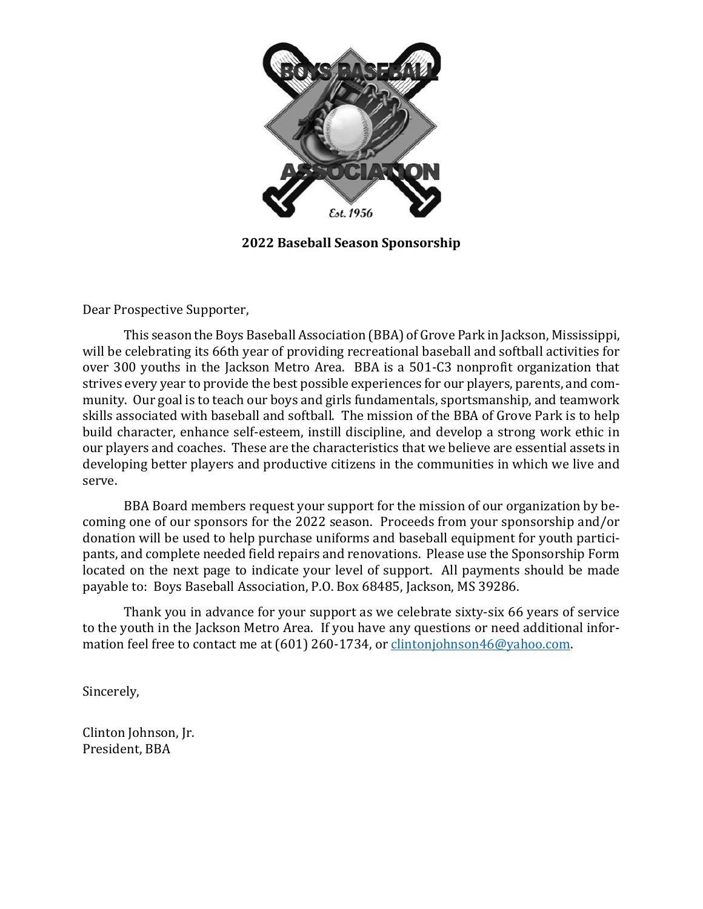

**2022 Baseball Season Sponsorship**

Dear Prospective Supporter,

This season the Boys Baseball Association (BBA) of Grove Park in Jackson, Mississippi, will be celebrating its 66th year of providing recreational baseball and softball activities for over 300 youths in the Jackson Metro Area. BBA is a 501-C3 nonprofit organization that strives every year to provide the best possible experiences for our players, parents, and community. Our goal is to teach our boys and girls fundamentals, sportsmanship, and teamwork skills associated with baseball and softball. The mission of the BBA of Grove Park is to help build character, enhance self-esteem, instill discipline, and develop a strong work ethic in our players and coaches. These are the characteristics that we believe are essential assets in developing better players and productive citizens in the communities in which we live and serve.

BBA Board members request your support for the mission of our organization by becoming one of our sponsors for the 2022 season. Proceeds from your sponsorship and/or donation will be used to help purchase uniforms and baseball equipment for youth participants, and complete needed field repairs and renovations. Please use the Sponsorship Form located on the next page to indicate your level of support. All payments should be made payable to: Boys Baseball Association, P.O. Box 68485, Jackson, MS 39286.

Thank you in advance for your support as we celebrate sixty-six 66 years of service to the youth in the Jackson Metro Area. If you have any questions or need additional information feel free to contact me at (601) 260-1734, or [clintonjohnson46@yahoo.com.](mailto:clintonjohnson46@yahoo.com)

Sincerely,

Clinton Johnson, Jr. President, BBA